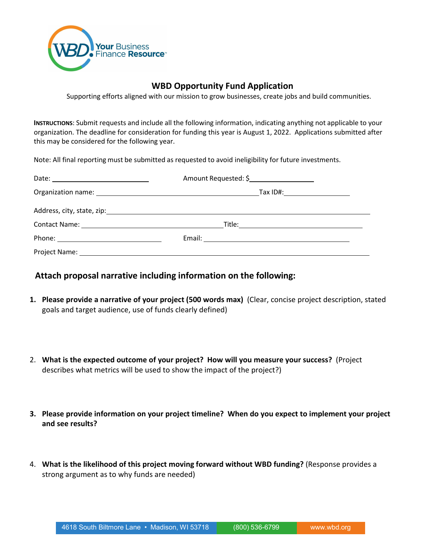

## **WBD Opportunity Fund Application**

Supporting efforts aligned with our mission to grow businesses, create jobs and build communities.

**INSTRUCTIONS**: Submit requests and include all the following information, indicating anything not applicable to your organization. The deadline for consideration for funding this year is August 1, 2022. Applications submitted after this may be considered for the following year.

Note: All final reporting must be submitted as requested to avoid ineligibility for future investments.

|                                               | Amount Requested: \$            |  |
|-----------------------------------------------|---------------------------------|--|
|                                               | Tax ID#:_______________________ |  |
|                                               |                                 |  |
| Contact Name: University of the Contact Name: |                                 |  |
|                                               |                                 |  |
|                                               |                                 |  |

## **Attach proposal narrative including information on the following:**

- **1. Please provide a narrative of your project (500 words max)** (Clear, concise project description, stated goals and target audience, use of funds clearly defined)
- 2. **What is the expected outcome of your project? How will you measure your success?** (Project describes what metrics will be used to show the impact of the project?)
- **3. Please provide information on your project timeline? When do you expect to implement your project and see results?**
- 4. **What is the likelihood of this project moving forward without WBD funding?** (Response provides a strong argument as to why funds are needed)